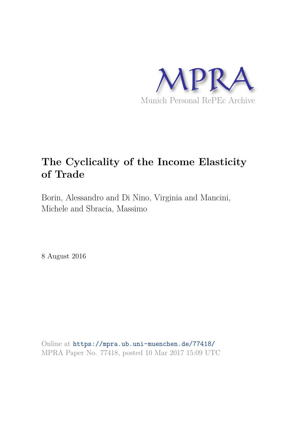

## **The Cyclicality of the Income Elasticity of Trade**

Borin, Alessandro and Di Nino, Virginia and Mancini, Michele and Sbracia, Massimo

8 August 2016

Online at https://mpra.ub.uni-muenchen.de/77418/ MPRA Paper No. 77418, posted 10 Mar 2017 15:09 UTC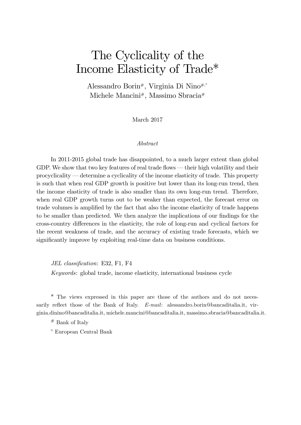# The Cyclicality of the Income Elasticity of Trade\*

Alessandro Borin#, Virginia Di Nino<sup>#,°</sup> Michele Mancini#, Massimo Sbracia#

March 2017

#### Abstract

In 2011-2015 global trade has disappointed, to a much larger extent than global GDP. We show that two key features of real trade flows  $-$  their high volatility and their  $procyclicality$  determine a cyclicality of the income elasticity of trade. This property is such that when real GDP growth is positive but lower than its long-run trend, then the income elasticity of trade is also smaller than its own long-run trend. Therefore, when real GDP growth turns out to be weaker than expected, the forecast error on trade volumes is amplified by the fact that also the income elasticity of trade happens to be smaller than predicted. We then analyze the implications of our findings for the cross-country differences in the elasticity, the role of long-run and cyclical factors for the recent weakness of trade, and the accuracy of existing trade forecasts, which we significantly improve by exploiting real-time data on business conditions.

JEL classification: E32, F1, F4

Keywords: global trade, income elasticity, international business cycle

\* The views expressed in this paper are those of the authors and do not necessarily reflect those of the Bank of Italy.  $E$ -mail: alessandro.borin@bancaditalia.it, virginia.dinino@bancaditalia.it, michele.mancini@bancaditalia.it, massimo.sbracia@bancaditalia.it.

# Bank of Italy

European Central Bank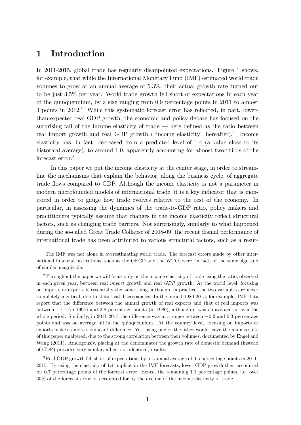## 1 Introduction

In 2011-2015, global trade has regularly disappointed expectations. Figure 1 shows, for example, that while the International Monetary Fund (IMF) estimated world trade volumes to grow at an annual average of 5:3%, their actual growth rate turned out to be just 3:5% per year. World trade growth fell short of expectations in each year of the quinquennium, by a size ranging from 0:9 percentage points in 2011 to almost  $3$  points in  $2012<sup>1</sup>$ . While this systematic forecast error has reflected, in part, lowerthan-expected real GDP growth, the economic and policy debate has focused on the surprising fall of the income elasticity of trade  $-$  here defined as the ratio between real import growth and real GDP growth ("income elasticity" hereafter).<sup>2</sup> Income elasticity has, in fact, decreased from a predicted level of 1:4 (a value close to its historical average), to around 1.0, apparently accounting for almost two-thirds of the forecast error.<sup>3</sup>

In this paper we put the income elasticity at the center stage, in order to streamline the mechanisms that explain the behavior, along the business cycle, of aggregate trade áows compared to GDP. Although the income elasticity is not a parameter in modern microfounded models of international trade, it is a key indicator that is monitored in order to gauge how trade evolves relative to the rest of the economy. In particular, in assessing the dynamics of the trade-to-GDP ratio, policy makers and practitioners typically assume that changes in the income elasticity reflect structural factors, such as changing trade barriers. Not surprisingly, similarly to what happened during the so-called Great Trade Collapse of 2008-09, the recent dismal performance of international trade has been attributed to various structural factors, such as a resur-

<sup>3</sup>Real GDP growth fell short of expectations by an annual average of 0.5 percentage points in 2011-2015. By using the elasticity of 1:4 implicit in the IMF forecasts, lower GDP growth then accounted for 0:7 percentage points of the forecast error. Hence, the remaining 1:1 percentage points, i.e. over 60% of the forecast error, is accounted for by the decline of the income elasticity of trade.

<sup>&</sup>lt;sup>1</sup>The IMF was not alone in overestimating world trade. The forecast errors made by other international financial institutions, such as the OECD and the WTO, were, in fact, of the same sign and of similar magnitude.

<sup>&</sup>lt;sup>2</sup>Throughout the paper we will focus only on the income elasticity of trade using the ratio, observed in each given year, between real import growth and real GDP growth. At the world level, focusing on imports or exports is essentially the same thing, although, in practice, the two variables are never completely identical, due to statistical discrepancies. In the period 1980-2015, for example, IMF data report that the difference between the annual growth of real exports and that of real imports was between  $-1.7$  (in 1994) and 2.8 percentage points (in 1980), although it was on average nil over the whole period. Similarly, in 2011-2015 the difference was in a range between  $-0.2$  and 0.3 percentage points and was on average nil in the quinquennium. At the country level, focusing on imports or exports makes a more significant difference. Yet, using one or the other would leave the main results of this paper unaltered, due to the strong correlation between their volumes, documented by Engel and Wang (2011). Analogously, placing at the denominator the growth rate of domestic demand (instead of GDP) provides very similar, albeit not identical, results.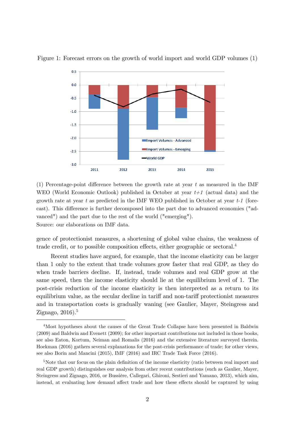

Figure 1: Forecast errors on the growth of world import and world GDP volumes (1)

(1) Percentage-point difference between the growth rate at year  $t$  as measured in the IMF WEO (World Economic Outlook) published in October at year  $t+1$  (actual data) and the growth rate at year t as predicted in the IMF WEO published in October at year  $t-1$  (forecast). This difference is further decomposed into the part due to advanced economies ("advanced") and the part due to the rest of the world ("emerging"). Source: our elaborations on IMF data.

gence of protectionist measures, a shortening of global value chains, the weakness of trade credit, or to possible composition effects, either geographic or sectoral.<sup>4</sup>

Recent studies have argued, for example, that the income elasticity can be larger than 1 only to the extent that trade volumes grow faster that real GDP, as they do when trade barriers decline. If, instead, trade volumes and real GDP grow at the same speed, then the income elasticity should lie at the equilibrium level of 1. The post-crisis reduction of the income elasticity is then interpreted as a return to its equilibrium value, as the secular decline in tariff and non-tariff protectionist measures and in transportation costs is gradually waning (see Gaulier, Mayer, Steingress and Zignago, 2016).<sup>5</sup>

<sup>4</sup>Most hypotheses about the causes of the Great Trade Collapse have been presented in Baldwin (2009) and Baldwin and Evenett (2009); for other important contributions not included in those books, see also Eaton, Kortum, Neiman and Romalis (2016) and the extensive literature surveyed therein. Hoekman (2016) gathers several explanations for the post-crisis performance of trade; for other views, see also Borin and Mancini (2015), IMF (2016) and IRC Trade Task Force (2016).

<sup>&</sup>lt;sup>5</sup>Note that our focus on the plain definition of the income elasticity (ratio between real import and real GDP growth) distinguishes our analysis from other recent contributions (such as Gaulier, Mayer, Steingress and Zignago, 2016, or Bussière, Callegari, Ghironi, Sestieri and Yamano, 2013), which aim, instead, at evaluating how demand affect trade and how these effects should be captured by using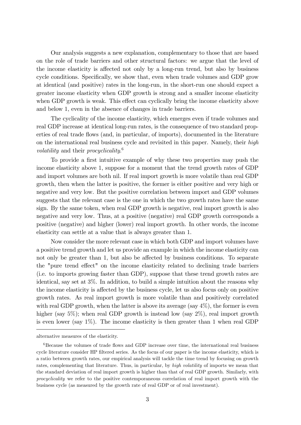Our analysis suggests a new explanation, complementary to those that are based on the role of trade barriers and other structural factors: we argue that the level of the income elasticity is affected not only by a long-run trend, but also by business cycle conditions. Specifically, we show that, even when trade volumes and GDP grow at identical (and positive) rates in the long-run, in the short-run one should expect a greater income elasticity when GDP growth is strong and a smaller income elasticity when GDP growth is weak. This effect can cyclically bring the income elasticity above and below 1, even in the absence of changes in trade barriers.

The cyclicality of the income elasticity, which emerges even if trade volumes and real GDP increase at identical long-run rates, is the consequence of two standard properties of real trade flows (and, in particular, of imports), documented in the literature on the international real business cycle and revisited in this paper. Namely, their high volatility and their procyclicality.<sup>6</sup>

To provide a first intuitive example of why these two properties may push the income elasticity above 1, suppose for a moment that the trend growth rates of GDP and import volumes are both nil. If real import growth is more volatile than real GDP growth, then when the latter is positive, the former is either positive and very high or negative and very low. But the positive correlation between import and GDP volumes suggests that the relevant case is the one in which the two growth rates have the same sign. By the same token, when real GDP growth is negative, real import growth is also negative and very low. Thus, at a positive (negative) real GDP growth corresponds a positive (negative) and higher (lower) real import growth. In other words, the income elasticity can settle at a value that is always greater than 1.

Now consider the more relevant case in which both GDP and import volumes have a positive trend growth and let us provide an example in which the income elasticity can not only be greater than 1, but also be affected by business conditions. To separate the "pure trend effect" on the income elasticity related to declining trade barriers (i.e. to imports growing faster than GDP), suppose that these trend growth rates are identical, say set at 3%. In addition, to build a simple intuition about the reasons why the income elasticity is affected by the business cycle, let us also focus only on positive growth rates. As real import growth is more volatile than and positively correlated with real GDP growth, when the latter is above its average (say  $4\%$ ), the former is even higher (say  $5\%$ ); when real GDP growth is instead low (say  $2\%$ ), real import growth is even lower (say 1%). The income elasticity is then greater than 1 when real GDP

alternative measures of the elasticity.

 $6B_6$  Because the volumes of trade flows and GDP increase over time, the international real business cycle literature consider HP filtered series. As the focus of our paper is the income elasticity, which is a ratio between growth rates, our empirical analysis will tackle the time trend by focusing on growth rates, complementing that literature. Thus, in particular, by *high volatility* of imports we mean that the standard deviation of real import growth is higher than that of real GDP growth. Similarly, with procyclicality we refer to the positive contemporaneous correlation of real import growth with the business cycle (as measured by the growth rate of real GDP or of real investment).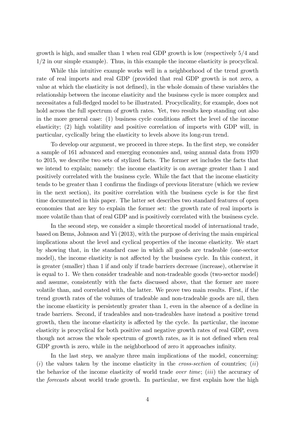growth is high, and smaller than 1 when real GDP growth is low (respectively  $5/4$  and  $1/2$  in our simple example). Thus, in this example the income elasticity is procyclical.

While this intuitive example works well in a neighborhood of the trend growth rate of real imports and real GDP (provided that real GDP growth is not zero, a value at which the elasticity is not defined), in the whole domain of these variables the relationship between the income elasticity and the business cycle is more complex and necessitates a full-fledged model to be illustrated. Procyclicality, for example, does not hold across the full spectrum of growth rates. Yet, two results keep standing out also in the more general case:  $(1)$  business cycle conditions affect the level of the income elasticity; (2) high volatility and positive correlation of imports with GDP will, in particular, cyclically bring the elasticity to levels above its long-run trend.

To develop our argument, we proceed in three steps. In the first step, we consider a sample of 161 advanced and emerging economies and, using annual data from 1970 to 2015, we describe two sets of stylized facts. The former set includes the facts that we intend to explain; namely: the income elasticity is on average greater than 1 and positively correlated with the business cycle. While the fact that the income elasticity tends to be greater than 1 confirms the findings of previous literature (which we review in the next section), its positive correlation with the business cycle is for the first time documented in this paper. The latter set describes two standard features of open economies that are key to explain the former set: the growth rate of real imports is more volatile than that of real GDP and is positively correlated with the business cycle.

In the second step, we consider a simple theoretical model of international trade, based on Bems, Johnson and Yi (2013), with the purpose of deriving the main empirical implications about the level and cyclical properties of the income elasticity. We start by showing that, in the standard case in which all goods are tradeable (one-sector model), the income elasticity is not affected by the business cycle. In this context, it is greater (smaller) than 1 if and only if trade barriers decrease (increase), otherwise it is equal to 1. We then consider tradeable and non-tradeable goods (two-sector model) and assume, consistently with the facts discussed above, that the former are more volatile than, and correlated with, the latter. We prove two main results. First, if the trend growth rates of the volumes of tradeable and non-tradeable goods are nil, then the income elasticity is persistently greater than 1, even in the absence of a decline in trade barriers. Second, if tradeables and non-tradeables have instead a positive trend growth, then the income elasticity is affected by the cycle. In particular, the income elasticity is procyclical for both positive and negative growth rates of real GDP, even though not across the whole spectrum of growth rates, as it is not defined when real GDP growth is zero, while in the neighborhood of zero it approaches infinity.

In the last step, we analyze three main implications of the model, concerning:  $(i)$  the values taken by the income elasticity in the *cross-section* of countries;  $(ii)$ the behavior of the income elasticity of world trade *over time*; *(iii)* the accuracy of the *forecasts* about world trade growth. In particular, we first explain how the high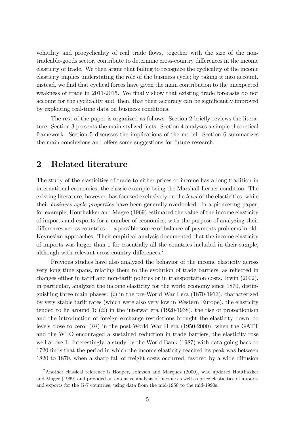volatility and procyclicality of real trade áows, together with the size of the nontradeable-goods sector, contribute to determine cross-country differences in the income elasticity of trade. We then argue that failing to recognize the cyclicality of the income elasticity implies understating the role of the business cycle; by taking it into account, instead, we find that cyclical forces have given the main contribution to the unexpected weakness of trade in 2011-2015. We finally show that existing trade forecasts do not account for the cyclicality and, then, that their accuracy can be significantly improved by exploiting real-time data on business conditions.

The rest of the paper is organized as follows. Section 2 briefly reviews the literature. Section 3 presents the main stylized facts. Section 4 analyzes a simple theoretical framework. Section 5 discusses the implications of the model. Section 6 summarizes the main conclusions and offers some suggestions for future research.

## 2 Related literature

The study of the elasticities of trade to either prices or income has a long tradition in international economics, the classic example being the Marshall-Lerner condition. The existing literature, however, has focused exclusively on the *level* of the elasticities, while their business cycle properties have been generally overlooked. In a pioneering paper, for example, Houthakker and Magee (1969) estimated the value of the income elasticity of imports and exports for a number of economies, with the purpose of analyzing their  $d$ ifferences across countries  $-$  a possible source of balance-of-payments problems in old-Keynesian approaches. Their empirical analysis documented that the income elasticity of imports was larger than 1 for essentially all the countries included in their sample, although with relevant cross-country differences. $7$ 

Previous studies have also analyzed the behavior of the income elasticity across very long time spans, relating them to the evolution of trade barriers, as reflected in changes either in tariff and non-tariff policies or in transportation costs. Irwin (2002), in particular, analyzed the income elasticity for the world economy since 1870, distinguishing three main phases:  $(i)$  in the pre-World War I era (1870-1913), characterized by very stable tariff rates (which were also very low in Western Europe), the elasticity tended to lie around 1;  $(ii)$  in the interwar era (1920-1938), the rise of protectionism and the introduction of foreign exchange restrictions brought the elasticity down, to levels close to zero; (iii) in the post-World War II era (1950-2000), when the GATT and the WTO encouraged a sustained reduction in trade barriers, the elasticity rose well above 1. Interestingly, a study by the World Bank (1987) with data going back to 1720 finds that the period in which the income elasticity reached its peak was between 1820 to 1870, when a sharp fall of freight costs occurred, favored by a wide diffusion

<sup>7</sup>Another classical reference is Hooper, Johnson and Marquez (2000), who updated Houthakker and Magee (1969) and provided an extensive analysis of income as well as price elasticities of imports and exports for the G-7 countries, using data from the mid-1950 to the mid-1990s.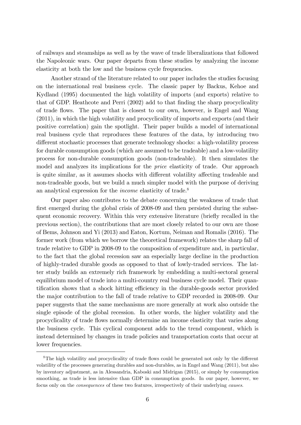of railways and steamships as well as by the wave of trade liberalizations that followed the Napoleonic wars. Our paper departs from these studies by analyzing the income elasticity at both the low and the business cycle frequencies.

Another strand of the literature related to our paper includes the studies focusing on the international real business cycle. The classic paper by Backus, Kehoe and Kydland (1995) documented the high volatility of imports (and exports) relative to that of GDP. Heathcote and Perri (2002) add to that finding the sharp procyclicality of trade áows. The paper that is closest to our own, however, is Engel and Wang (2011), in which the high volatility and procyclicality of imports and exports (and their positive correlation) gain the spotlight. Their paper builds a model of international real business cycle that reproduces these features of the data, by introducing two different stochastic processes that generate technology shocks: a high-volatility process for durable consumption goods (which are assumed to be tradeable) and a low-volatility process for non-durable consumption goods (non-tradeable). It then simulates the model and analyzes its implications for the price elasticity of trade. Our approach is quite similar, as it assumes shocks with different volatility affecting tradeable and non-tradeable goods, but we build a much simpler model with the purpose of deriving an analytical expression for the *income* elasticity of trade.<sup>8</sup>

Our paper also contributes to the debate concerning the weakness of trade that first emerged during the global crisis of 2008-09 and then persisted during the subsequent economic recovery. Within this very extensive literature (briefly recalled in the previous section), the contributions that are most closely related to our own are those of Bems, Johnson and Yi (2013) and Eaton, Kortum, Neiman and Romalis (2016). The former work (from which we borrow the theoretical framework) relates the sharp fall of trade relative to GDP in 2008-09 to the composition of expenditure and, in particular, to the fact that the global recession saw an especially large decline in the production of highly-traded durable goods as opposed to that of lowly-traded services. The latter study builds an extremely rich framework by embedding a multi-sectoral general equilibrium model of trade into a multi-country real business cycle model. Their quantification shows that a shock hitting efficiency in the durable-goods sector provided the major contribution to the fall of trade relative to GDP recorded in 2008-09. Our paper suggests that the same mechanisms are more generally at work also outside the single episode of the global recession. In other words, the higher volatility and the procyclicality of trade áows normally determine an income elasticity that varies along the business cycle. This cyclical component adds to the trend component, which is instead determined by changes in trade policies and transportation costs that occur at lower frequencies.

<sup>&</sup>lt;sup>8</sup>The high volatility and procyclicality of trade flows could be generated not only by the different volatility of the processes generating durables and non-durables, as in Engel and Wang (2011), but also by inventory adjustment, as in Alessandria, Kaboski and Midrigan (2015), or simply by consumption smoothing, as trade is less intensive than GDP in consumption goods. In our paper, however, we focus only on the consequences of these two features, irrespectively of their underlying causes.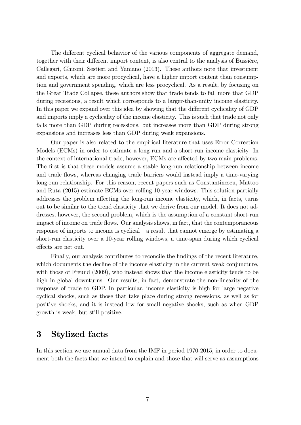The different cyclical behavior of the various components of aggregate demand, together with their different import content, is also central to the analysis of Bussière, Callegari, Ghironi, Sestieri and Yamano (2013). These authors note that investment and exports, which are more procyclical, have a higher import content than consumption and government spending, which are less procyclical. As a result, by focusing on the Great Trade Collapse, these authors show that trade tends to fall more that GDP during recessions, a result which corresponds to a larger-than-unity income elasticity. In this paper we expand over this idea by showing that the different cyclicality of GDP and imports imply a cyclicality of the income elasticity. This is such that trade not only falls more than GDP during recessions, but increases more than GDP during strong expansions and increases less than GDP during weak expansions.

Our paper is also related to the empirical literature that uses Error Correction Models (ECMs) in order to estimate a long-run and a short-run income elasticity. In the context of international trade, however, ECMs are affected by two main problems. The first is that these models assume a stable long-run relationship between income and trade flows, whereas changing trade barriers would instead imply a time-varying long-run relationship. For this reason, recent papers such as Constantinescu, Mattoo and Ruta (2015) estimate ECMs over rolling 10-year windows. This solution partially addresses the problem affecting the long-run income elasticity, which, in facts, turns out to be similar to the trend elasticity that we derive from our model. It does not addresses, however, the second problem, which is the assumption of a constant short-run impact of income on trade flows. Our analysis shows, in fact, that the contemporaneous response of imports to income is cyclical  $-$  a result that cannot emerge by estimating a short-run elasticity over a 10-year rolling windows, a time-span during which cyclical effects are net out.

Finally, our analysis contributes to reconcile the findings of the recent literature, which documents the decline of the income elasticity in the current weak conjuncture, with those of Freund (2009), who instead shows that the income elasticity tends to be high in global downturns. Our results, in fact, demonstrate the non-linearity of the response of trade to GDP. In particular, income elasticity is high for large negative cyclical shocks, such as those that take place during strong recessions, as well as for positive shocks, and it is instead low for small negative shocks, such as when GDP growth is weak, but still positive.

## 3 Stylized facts

In this section we use annual data from the IMF in period 1970-2015, in order to document both the facts that we intend to explain and those that will serve as assumptions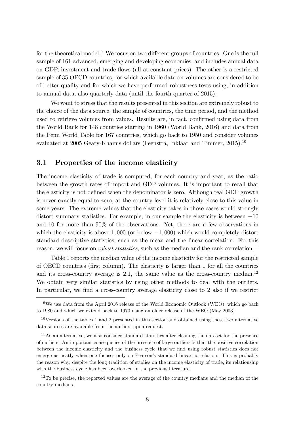for the theoretical model. $9$  We focus on two different groups of countries. One is the full sample of 161 advanced, emerging and developing economies, and includes annual data on GDP, investment and trade áows (all at constant prices). The other is a restricted sample of 35 OECD countries, for which available data on volumes are considered to be of better quality and for which we have performed robustness tests using, in addition to annual data, also quarterly data (until the fourth quarter of 2015).

We want to stress that the results presented in this section are extremely robust to the choice of the data source, the sample of countries, the time period, and the method used to retrieve volumes from values. Results are, in fact, confirmed using data from the World Bank for 148 countries starting in 1960 (World Bank, 2016) and data from the Penn World Table for 167 countries, which go back to 1950 and consider volumes evaluated at 2005 Geary-Khamis dollars (Feenstra, Inklaar and Timmer, 2015).<sup>10</sup>

#### 3.1 Properties of the income elasticity

The income elasticity of trade is computed, for each country and year, as the ratio between the growth rates of import and GDP volumes. It is important to recall that the elasticity is not defined when the denominator is zero. Although real GDP growth is never exactly equal to zero, at the country level it is relatively close to this value in some years. The extreme values that the elasticity takes in those cases would strongly distort summary statistics. For example, in our sample the elasticity is between  $-10$ and 10 for more than 90% of the observations. Yet, there are a few observations in which the elasticity is above  $1,000$  (or below  $-1,000$ ) which would completely distort standard descriptive statistics, such as the mean and the linear correlation. For this reason, we will focus on *robust statistics*, such as the median and the rank correlation.<sup>11</sup>

Table 1 reports the median value of the income elasticity for the restricted sample of OECD countries (Örst column). The elasticity is larger than 1 for all the countries and its cross-country average is 2.1, the same value as the cross-country median.<sup>12</sup> We obtain very similar statistics by using other methods to deal with the outliers. In particular, we find a cross-country average elasticity close to 2 also if we restrict

 $9$ We use data from the April 2016 release of the World Economic Outlook (WEO), which go back to 1980 and which we extend back to 1970 using an older release of the WEO (May 2003).

 $10$ Versions of the tables 1 and 2 presented in this section and obtained using these two alternative data sources are available from the authors upon request.

<sup>&</sup>lt;sup>11</sup>As an alternative, we also consider standard statistics after cleaning the dataset for the presence of outliers. An important consequence of the presence of large outliers is that the positive correlation between the income elasticity and the business cycle that we find using robust statistics does not emerge as neatly when one focuses only on Pearson's standard linear correlation. This is probably the reason why, despite the long tradition of studies on the income elasticity of trade, its relationship with the business cycle has been overlooked in the previous literature.

 $12$ To be precise, the reported values are the average of the country medians and the median of the country medians.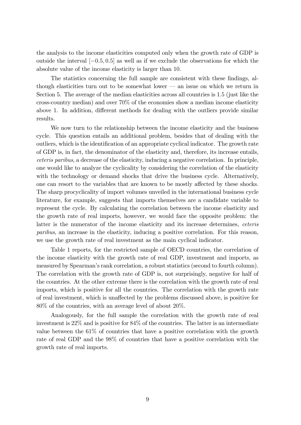the analysis to the income elasticities computed only when the growth rate of GDP is outside the interval  $[-0.5, 0.5]$  as well as if we exclude the observations for which the absolute value of the income elasticity is larger than 10.

The statistics concerning the full sample are consistent with these findings, although elasticities turn out to be somewhat lower  $-$  an issue on which we return in Section 5. The average of the median elasticities across all countries is 1:5 (just like the cross-country median) and over 70% of the economies show a median income elasticity above 1. In addition, different methods for dealing with the outliers provide similar results.

We now turn to the relationship between the income elasticity and the business cycle. This question entails an additional problem, besides that of dealing with the outliers, which is the identification of an appropriate cyclical indicator. The growth rate of GDP is, in fact, the denominator of the elasticity and, therefore, its increase entails, ceteris paribus, a decrease of the elasticity, inducing a negative correlation. In principle, one would like to analyze the cyclicality by considering the correlation of the elasticity with the technology or demand shocks that drive the business cycle. Alternatively, one can resort to the variables that are known to be mostly affected by these shocks. The sharp procyclicality of import volumes unveiled in the international business cycle literature, for example, suggests that imports themselves are a candidate variable to represent the cycle. By calculating the correlation between the income elasticity and the growth rate of real imports, however, we would face the opposite problem: the latter is the numerator of the income elasticity and its increase determines, ceteris paribus, an increase in the elasticity, inducing a positive correlation. For this reason, we use the growth rate of real investment as the main cyclical indicator.

Table 1 reports, for the restricted sample of OECD countries, the correlation of the income elasticity with the growth rate of real GDP, investment and imports, as measured by Spearman's rank correlation, a robust statistics (second to fourth column). The correlation with the growth rate of GDP is, not surprisingly, negative for half of the countries. At the other extreme there is the correlation with the growth rate of real imports, which is positive for all the countries. The correlation with the growth rate of real investment, which is unaffected by the problems discussed above, is positive for 80% of the countries, with an average level of about 20%.

Analogously, for the full sample the correlation with the growth rate of real investment is 22% and is positive for 84% of the countries. The latter is an intermediate value between the 61% of countries that have a positive correlation with the growth rate of real GDP and the 98% of countries that have a positive correlation with the growth rate of real imports.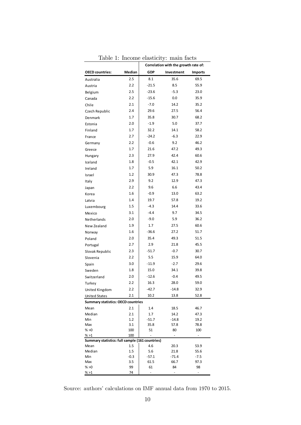|                                                 |               | Correlation with the growth rate of: |                 |                |
|-------------------------------------------------|---------------|--------------------------------------|-----------------|----------------|
| <b>OECD</b> countries:                          | Median        | <b>GDP</b>                           | Investment      | <b>Imports</b> |
| Australia                                       | 2.5           | 8.1                                  | 35.6            | 69.5           |
| Austria                                         | 2.2           | $-21.5$                              | 8.5             | 55.9           |
| Belgium                                         | 2.5           | $-23.6$                              | $-5.3$          | 23.0           |
| Canada                                          | 2.2           | $-15.6$                              | 0.0             | 35.9           |
| Chile                                           | 2.1           | $-7.0$                               | 14.2            | 35.2           |
| Czech Republic                                  | 2.4           | 29.6                                 | 27.5            | 56.4           |
| Denmark                                         | 1.7           | 35.8                                 | 30.7            | 68.2           |
| Estonia                                         | 2.0           | $-1.9$                               | 5.0             | 37.7           |
| Finland                                         | 1.7           | 32.2                                 | 14.1            | 58.2           |
| France                                          | 2.7           | $-24.2$                              | $-6.3$          | 22.9           |
| Germany                                         | 2.2           | $-0.6$                               | 9.2             | 46.2           |
| Greece                                          | 1.7           | 21.6                                 | 47.2            | 49.3           |
| Hungary                                         | 2.3           | 27.9                                 | 42.4            | 60.6           |
| Iceland                                         | 1.8           | $-0.5$                               | 42.1            | 42.9           |
| Ireland                                         | 1.7           | 5.9                                  | 16.1            | 50.2           |
| Israel                                          | 1.2           | 30.9                                 | 47.3            | 78.8           |
| Italy                                           | 2.9           | 9.2                                  | 12.9            | 47.3           |
| Japan                                           | 2.2           | 9.6                                  | 6.6             | 43.4           |
| Korea                                           | 1.6           | $-0.9$                               | 13.0            | 63.2           |
| Latvia                                          | 1.4           | 19.7                                 | 57.8            | 19.2           |
|                                                 | 1.5           | $-4.3$                               | 14.4            | 33.6           |
| Luxembourg                                      | 3.1           | $-4.4$                               | 9.7             | 34.5           |
| Mexico                                          | 2.0           | $-9.0$                               | 5.9             | 36.2           |
| Netherlands                                     | 1.9           | 1.7                                  | 27.5            | 60.6           |
| New Zealand                                     | 1.6           | $-36.6$                              | 27.2            | 51.7           |
| Norway                                          | 2.0           | 35.4                                 | 49.3            |                |
| Poland                                          | 2.7           |                                      |                 | 51.5           |
| Portugal                                        |               | 2.9                                  | 21.8            | 45.5           |
| Slovak Republic                                 | 2.3           | $-51.7$                              | $-0.7$          | 30.7           |
| Slovenia                                        | 2.2           | 5.5                                  | 15.9            | 64.0           |
| Spain                                           | 3.0           | $-11.9$                              | -2.7            | 29.6           |
| Sweden                                          | 1.8           | 15.0                                 | 34.1            | 39.8           |
| Switzerland                                     | 2.0           | $-12.6$                              | $-0.4$          | 49.5           |
| Turkey                                          | 2.2           | 16.3                                 | 28.0            | 59.0           |
| United Kingdom                                  | 2.2           | $-42.7$                              | $-14.8$         | 32.9           |
| <b>United States</b>                            | 2.1           | 10.2                                 | 13.8            | 52.8           |
| <b>Summary statistics: OECD countries</b>       |               |                                      |                 |                |
| Mean                                            | 2.1           | 1.4                                  | 18.5            | 46.7           |
| Median<br>Min                                   | 2.1<br>1.2    | 1.7<br>$-51.7$                       | 14.2<br>$-14.8$ | 47.3<br>19.2   |
| Max                                             | 3.1           | 35.8                                 | 57.8            | 78.8           |
| % > 0                                           | 100           | 51                                   | 80              | 100            |
| % >1                                            | 100           | ÷.                                   |                 |                |
| Summary statistics: full sample (161 countries) |               |                                      |                 |                |
| Mean                                            | 1.5           | 4.6                                  | 20.3            | 53.9           |
| Median<br>Min                                   | 1.5<br>$-0.3$ | 5.6<br>$-57.1$                       | 21.8<br>$-71.4$ | 55.6<br>-7.5   |
| Max                                             | 3.5           | 61.5                                 | 66.7            | 97.3           |
| % > 0                                           | 99            | 61                                   | 84              | 98             |
| % >1                                            | 74            |                                      |                 |                |

Table 1: Income elasticity: main facts

Source: authors' calculations on IMF annual data from 1970 to 2015.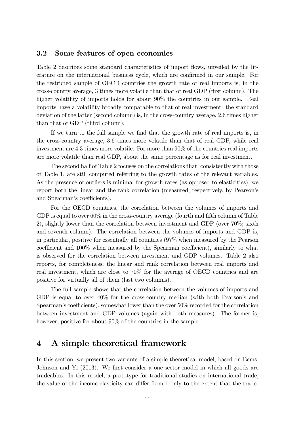### 3.2 Some features of open economies

Table 2 describes some standard characteristics of import flows, unveiled by the literature on the international business cycle, which are confirmed in our sample. For the restricted sample of OECD countries the growth rate of real imports is, in the cross-country average, 3 times more volatile than that of real GDP (first column). The higher volatility of imports holds for about  $90\%$  the countries in our sample. Real imports have a volatility broadly comparable to that of real investment: the standard deviation of the latter (second column) is, in the cross-country average, 2:6 times higher than that of GDP (third column).

If we turn to the full sample we find that the growth rate of real imports is, in the cross-country average, 3:6 times more volatile than that of real GDP, while real investment are 4.3 times more volatile. For more than  $90\%$  of the countries real imports are more volatile than real GDP, about the same percentage as for real investment.

The second half of Table 2 focuses on the correlations that, consistently with those of Table 1, are still computed referring to the growth rates of the relevant variables. As the presence of outliers is minimal for growth rates (as opposed to elasticities), we report both the linear and the rank correlation (measured, respectively, by Pearson's and Spearman's coefficients).

For the OECD countries, the correlation between the volumes of imports and GDP is equal to over  $60\%$  in the cross-country average (fourth and fifth column of Table 2), slightly lower than the correlation between investment and GDP (over 70%; sixth and seventh column). The correlation between the volumes of imports and GDP is, in particular, positive for essentially all countries (97% when measured by the Pearson coefficient and  $100\%$  when measured by the Spearman coefficient), similarly to what is observed for the correlation between investment and GDP volumes. Table 2 also reports, for completeness, the linear and rank correlation between real imports and real investment, which are close to 70% for the average of OECD countries and are positive for virtually all of them (last two columns).

The full sample shows that the correlation between the volumes of imports and GDP is equal to over  $40\%$  for the cross-country median (with both Pearson's and  $S$ pearman's coefficients), somewhat lower than the over  $50\%$  recorded for the correlation between investment and GDP volumes (again with both measures). The former is, however, positive for about 90% of the countries in the sample.

## 4 A simple theoretical framework

In this section, we present two variants of a simple theoretical model, based on Bems, Johnson and Yi (2013). We first consider a one-sector model in which all goods are tradeables. In this model, a prototype for traditional studies on international trade, the value of the income elasticity can differ from 1 only to the extent that the trade-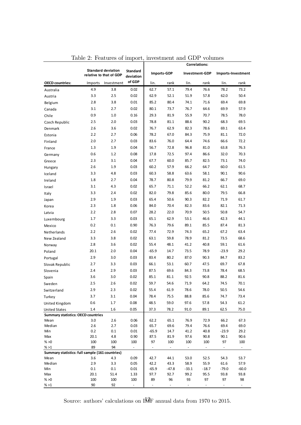|                                                 |             |                                                      |                              |                      |               | <b>Correlations:</b>  |                       |                      |                    |  |
|-------------------------------------------------|-------------|------------------------------------------------------|------------------------------|----------------------|---------------|-----------------------|-----------------------|----------------------|--------------------|--|
|                                                 |             | <b>Standard deviation</b><br>relative to that of GDP | <b>Standard</b><br>deviation | <b>Imports-GDP</b>   |               |                       | <b>Investment-GDP</b> |                      | Imports-Investment |  |
| <b>OECD</b> countries:                          | Imports     | Investment                                           | of GDP                       | lin.                 | rank          | lin.                  | rank                  | lin.                 | rank               |  |
| Australia                                       | 4.9         | 3.8                                                  | 0.02                         | 62.7                 | 57.1          | 79.4                  | 76.6                  | 78.2                 | 73.2               |  |
| Austria                                         | 3.3         | 2.5                                                  | 0.02                         | 62.9                 | 52.1          | 51.9                  | 57.8                  | 62.0                 | 50.4               |  |
| Belgium                                         | 2.8         | 3.8                                                  | 0.01                         | 85.2                 | 80.4          | 74.1                  | 71.6                  | 69.4                 | 69.8               |  |
| Canada                                          | 3.1         | 2.7                                                  | 0.02                         | 80.1                 | 73.7          | 76.7                  | 64.6                  | 69.9                 | 57.9               |  |
| Chile                                           | 0.9         | 1.0                                                  | 0.16                         | 29.3                 | 81.9          | 55.9                  | 70.7                  | 78.5                 | 78.0               |  |
| Czech Republic                                  | 2.5         | 2.0                                                  | 0.03                         | 78.8                 | 81.1          | 88.6                  | 90.2                  | 68.3                 | 69.5               |  |
| Denmark                                         | 2.6         | 3.6                                                  | 0.02                         | 76.7                 | 62.9          | 82.3                  | 78.6                  | 69.1                 | 63.4               |  |
| Estonia                                         | 2.2         | 2.7                                                  | 0.06                         | 78.2                 | 67.0          | 84.3                  | 75.9                  | 81.1                 | 72.0               |  |
| Finland                                         | 2.0         | 2.7                                                  | 0.03                         | 83.6                 | 76.0          | 64.4                  | 74.6                  | 66.6                 | 72.2               |  |
| France                                          | 1.3         | 1.9                                                  | 0.04                         | 56.7                 | 72.8          | 96.8                  | 81.0                  | 63.8                 | 76.3               |  |
| Germany                                         | 0.6         | 1.2                                                  | 0.08                         | 17.8                 | 72.5          | 97.4                  | 86.6                  | 32.0                 | 70.3               |  |
|                                                 | 2.3         | 3.1                                                  | 0.04                         | 67.7                 | 60.0          | 85.7                  | 82.5                  | 73.1                 | 74.0               |  |
| Greece                                          | 2.6         | 1.9                                                  | 0.03                         | 60.2                 | 57.9          | 66.2                  | 64.7                  | 60.0                 | 61.5               |  |
| Hungary                                         |             |                                                      |                              |                      |               |                       |                       |                      |                    |  |
| Iceland                                         | 3.3         | 4.8                                                  | 0.03                         | 60.3                 | 58.8          | 63.6                  | 58.1                  | 90.1                 | 90.6               |  |
| Ireland                                         | 1.8         | 2.7                                                  | 0.04                         | 78.7                 | 80.8          | 79.9                  | 81.2                  | 66.7                 | 69.0               |  |
| Israel                                          | 3.1         | 4.3                                                  | 0.02                         | 65.7                 | 71.1          | 52.2                  | 66.2                  | 62.1                 | 68.7               |  |
| Italy                                           | 3.3         | 2.4                                                  | 0.02                         | 82.0                 | 79.8          | 85.6                  | 80.0                  | 79.5                 | 66.8               |  |
| Japan                                           | 2.9         | 1.9                                                  | 0.03                         | 65.4                 | 50.6          | 90.3                  | 82.2                  | 71.9                 | 61.7               |  |
| Korea                                           | 2.3         | 1.8                                                  | 0.06                         | 84.0                 | 70.4          | 82.3                  | 83.6                  | 82.1                 | 71.3               |  |
| Latvia                                          | 2.2         | 2.8                                                  | 0.07                         | 28.2                 | 22.0          | 70.9                  | 50.5                  | 50.8                 | 54.7               |  |
| Luxembourg                                      | 1.7         | 3.3                                                  | 0.03                         | 65.1                 | 62.9          | 53.1                  | 46.6                  | 42.3                 | 44.1               |  |
| Mexico                                          | 0.2         | 0.1                                                  | 0.90                         | 76.3                 | 79.6          | 89.1                  | 85.5                  | 87.4                 | 81.3               |  |
| Netherlands                                     | 2.2         | 2.6                                                  | 0.02                         | 77.4                 | 72.9          | 74.3                  | 65.2                  | 67.2                 | 63.4               |  |
| New Zealand                                     | 3.3         | 3.8                                                  | 0.02                         | 63.1                 | 59.8          | 78.9                  | 81.2                  | 73.5                 | 68.6               |  |
| Norway                                          | 2.8         | 3.6                                                  | 0.02                         | 55.4                 | 48.1          | 41.2                  | 40.8                  | 59.1                 | 61.6               |  |
| Poland                                          | 20.1        | 2.0                                                  | 0.04                         | $-65.9$              | 14.7          | 73.5                  | 78.9                  | $-23.9$              | 29.2               |  |
| Portugal                                        | 2.9         | 3.0                                                  | 0.03                         | 83.4                 | 80.2          | 87.0                  | 90.3                  | 84.7                 | 83.2               |  |
| Slovak Republic                                 | 2.7         | 3.3                                                  | 0.03                         | 66.1                 | 53.1          | 60.7                  | 47.5                  | 69.7                 | 67.8               |  |
| Slovenia                                        | 2.4         | 2.9                                                  | 0.03                         | 87.5                 | 69.6          | 84.3                  | 73.8                  | 78.4                 | 68.5               |  |
| Spain                                           | 3.6         | 3.0                                                  | 0.02                         | 85.1                 | 81.1          | 92.5                  | 90.8                  | 88.2                 | 81.6               |  |
| Sweden                                          | 2.5         | 2.6                                                  | 0.02                         | 59.7                 | 54.6          | 71.9                  | 64.2                  | 74.5                 | 70.1               |  |
| Switzerland                                     | 2.9         | 2.3                                                  | 0.02                         | 55.4                 | 61.9          | 78.6                  | 78.0                  | $50.5$               | 54.6               |  |
| Turkey                                          | 3.7         | 3.1                                                  | 0.04                         | 78.4                 | 75.5          | 88.8                  | 85.6                  | 74.7                 | 73.4               |  |
| United Kingdom                                  | 0.6         | 1.7                                                  | 0.08                         | 48.5                 | 59.0          | 97.6                  | 57.8                  | 54.3                 | 61.2               |  |
| <b>United States</b>                            | 1.4         | $1.6\,$                                              | 0.05                         | 37.3                 | 78.2          | 91.0                  | 89.1                  | 62.5                 | 75.0               |  |
| <b>Summary statistics: OECD countries</b>       |             |                                                      |                              |                      |               |                       |                       |                      |                    |  |
| Mean                                            | 3.0         | 2.6                                                  | 0.06                         | 62.2                 | 65.1          | 76.9                  | 72.9                  | 66.2                 | 67.3               |  |
| Median                                          | 2.6         | 2.7                                                  | 0.03                         | 65.7                 | 69.6          | 79.4                  | 76.6                  | 69.4                 | 69.0               |  |
| Min                                             | 0.2         | 0.1                                                  | 0.01                         | $-65.9$              | 14.7          | 41.2                  | 40.8                  | $-23.9$              | 29.2               |  |
| Max<br>% > 0                                    | 20.1<br>100 | 4.8                                                  | 0.90                         | 87.5                 | 81.9          | 97.6                  | 90.8                  | 90.1                 | 90.6               |  |
| % >1                                            | 89          | 100<br>94                                            | 100<br>$\sim$                | 97<br>$\blacksquare$ | 100<br>$\sim$ | 100<br>$\blacksquare$ | 100<br>$\blacksquare$ | 97<br>$\blacksquare$ | 100<br>$\sim$      |  |
| Summary statistics: full sample (161 countries) |             |                                                      |                              |                      |               |                       |                       |                      |                    |  |
| Mean                                            | 3.6         | 4.3                                                  | 0.09                         | 42.7                 | 44.1          | 53.0                  | 52.5                  | 54.3                 | 53.7               |  |
| Median                                          | 2.9         | 3.3                                                  | 0.05                         | 42.2                 | 43.3          | 58.9                  | 55.9                  | 61.6                 | 57.9               |  |
| Min                                             | $0.1\,$     | 0.1                                                  | 0.01                         | $-65.9$              | $-47.8$       | $-33.1$               | $-18.7$               | $-79.0$              | $-60.0$            |  |
| Max<br>% > 0                                    | 20.1        | 51.4                                                 | 1.33                         | 97.7                 | 92.7          | 99.2                  | 95.5                  | 93.8                 | 93.8               |  |
| % >1                                            | 100<br>90   | 100<br>92                                            | 100                          | 89                   | 96            | 93                    | 97                    | 97                   | 98                 |  |

Table 2: Features of import, investment and GDP volumes

Source: authors' calculations on I $\frac{1}{4}$ F annual data from 1970 to 2015.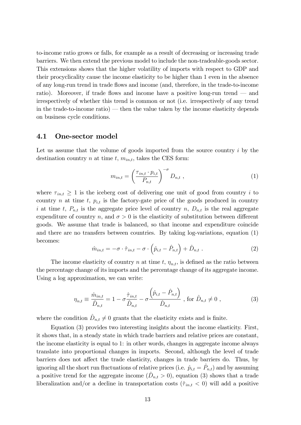to-income ratio grows or falls, for example as a result of decreasing or increasing trade barriers. We then extend the previous model to include the non-tradeable-goods sector. This extensions shows that the higher volatility of imports with respect to GDP and their procyclicality cause the income elasticity to be higher than 1 even in the absence of any long-run trend in trade flows and income (and, therefore, in the trade-to-income ratio). Moreover, if trade flows and income have a positive long-run trend  $\sim$  and irrespectively of whether this trend is common or not (i.e. irrespectively of any trend in the trade-to-income ratio)  $-$  then the value taken by the income elasticity depends on business cycle conditions.

#### 4.1 One-sector model

Let us assume that the volume of goods imported from the source country i by the destination country n at time t,  $m_{in,t}$ , takes the CES form:

$$
m_{in,t} = \left(\frac{\tau_{in,t} \cdot p_{i,t}}{P_{n,t}}\right)^{-\sigma} D_{n,t} , \qquad (1)
$$

where  $\tau_{int} \geq 1$  is the iceberg cost of delivering one unit of good from country i to country n at time t,  $p_{i,t}$  is the factory-gate price of the goods produced in country i at time t,  $P_{n,t}$  is the aggregate price level of country n,  $D_{n,t}$  is the real aggregate expenditure of country n, and  $\sigma > 0$  is the elasticity of substitution between different goods. We assume that trade is balanced, so that income and expenditure coincide and there are no transfers between countries. By taking log-variations, equation (1) becomes:

$$
\hat{m}_{in,t} = -\sigma \cdot \hat{\tau}_{in,t} - \sigma \cdot \left(\hat{p}_{i,t} - \hat{P}_{n,t}\right) + \hat{D}_{n,t} . \tag{2}
$$

The income elasticity of country n at time t,  $\eta_{n,t}$ , is defined as the ratio between the percentage change of its imports and the percentage change of its aggregate income. Using a log approximation, we can write:

$$
\eta_{n,t} \equiv \frac{\hat{m}_{in,t}}{\hat{D}_{n,t}} = 1 - \sigma \frac{\hat{\tau}_{in,t}}{\hat{D}_{n,t}} - \sigma \frac{\left(\hat{p}_{i,t} - \hat{P}_{n,t}\right)}{\hat{D}_{n,t}}, \text{ for } \hat{D}_{n,t} \neq 0 ,
$$
\n(3)

where the condition  $\hat{D}_{n,t} \neq 0$  grants that the elasticity exists and is finite.

Equation (3) provides two interesting insights about the income elasticity. First, it shows that, in a steady state in which trade barriers and relative prices are constant, the income elasticity is equal to 1: in other words, changes in aggregate income always translate into proportional changes in imports. Second, although the level of trade barriers does not affect the trade elasticity, changes in trade barriers do. Thus, by ignoring all the short run fluctuations of relative prices (i.e.  $\hat{p}_{i,t} = \hat{P}_{n,t}$ ) and by assuming a positive trend for the aggregate income  $(\hat{D}_{n,t} > 0)$ , equation (3) shows that a trade liberalization and/or a decline in transportation costs  $(\hat{\tau}_{in,t} < 0)$  will add a positive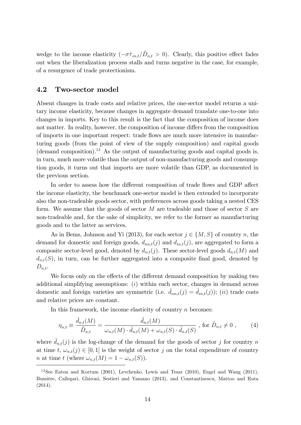wedge to the income elasticity  $(-\sigma \hat{\tau}_{in,t}/\hat{D}_{n,t} > 0)$ . Clearly, this positive effect fades out when the liberalization process stalls and turns negative in the case, for example, of a resurgence of trade protectionism.

#### 4.2 Two-sector model

Absent changes in trade costs and relative prices, the one-sector model returns a unitary income elasticity, because changes in aggregate demand translate one-to-one into changes in imports. Key to this result is the fact that the composition of income does not matter. In reality, however, the composition of income differs from the composition of imports in one important respect: trade áows are much more intensive in manufacturing goods (from the point of view of the supply composition) and capital goods  $(demand composition).<sup>13</sup>$  As the output of manufacturing goods and capital goods is, in turn, much more volatile than the output of non-manufacturing goods and consumption goods, it turns out that imports are more volatile than GDP, as documented in the previous section.

In order to assess how the different composition of trade flows and GDP affect the income elasticity, the benchmark one-sector model is then extended to incorporate also the non-tradeable goods sector, with preferences across goods taking a nested CES form. We assume that the goods of sector  $M$  are tradeable and those of sector  $S$  are non-tradeable and, for the sake of simplicity, we refer to the former as manufacturing goods and to the latter as services.

As in Bems, Johnson and Yi (2013), for each sector  $j \in \{M, S\}$  of country n, the demand for domestic and foreign goods,  $d_{nn,t}(j)$  and  $d_{in,t}(j)$ , are aggregated to form a composite sector-level good, denoted by  $d_{n,t}(j)$ . These sector-level goods  $d_{n,t}(M)$  and  $d_{n,t}(S)$ , in turn, can be further aggregated into a composite final good, denoted by  $D_{n,t}$ .

We focus only on the effects of the different demand composition by making two additional simplifying assumptions: (i) within each sector, changes in demand across domestic and foreign varieties are symmetric (i.e.  $\hat{d}_{nn,t}(j) = \hat{d}_{in,t}(j)$ ); (ii) trade costs and relative prices are constant.

In this framework, the income elasticity of country  $n$  becomes:

$$
\eta_{n,t} \equiv \frac{\hat{d}_{n,t}(M)}{\hat{D}_{n,t}} = \frac{\hat{d}_{n,t}(M)}{\omega_{n,t}(M) \cdot \hat{d}_{n,t}(M) + \omega_{n,t}(S) \cdot \hat{d}_{n,t}(S)}, \text{ for } \hat{D}_{n,t} \neq 0 ,\qquad (4)
$$

where  $d_{n,t}(j)$  is the log-change of the demand for the goods of sector j for country n at time t,  $\omega_{n,t}(j) \in [0, 1]$  is the weight of sector j on the total expenditure of country *n* at time t (where  $\omega_{n,t}(M) = 1 - \omega_{n,t}(S)$ ).

<sup>13</sup>See Eaton and Kortum (2001), Levchenko, Lewis and Tesar (2010), Engel and Wang (2011), BussiËre, Callegari, Ghironi, Sestieri and Yamano (2013), and Constantinescu, Mattoo and Ruta (2014).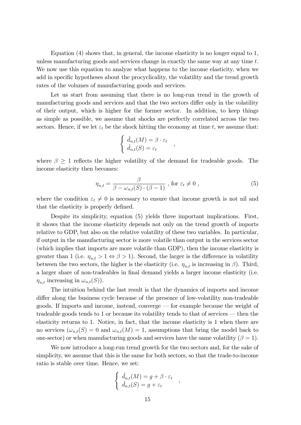Equation (4) shows that, in general, the income elasticity is no longer equal to 1, unless manufacturing goods and services change in exactly the same way at any time  $t$ . We now use this equation to analyze what happens to the income elasticity, when we add in specific hypotheses about the procyclicality, the volatility and the trend growth rates of the volumes of manufacturing goods and services.

Let us start from assuming that there is no long-run trend in the growth of manufacturing goods and services and that the two sectors differ only in the volatility of their output, which is higher for the former sector. In addition, to keep things as simple as possible, we assume that shocks are perfectly correlated across the two sectors. Hence, if we let  $\varepsilon_t$  be the shock hitting the economy at time t, we assume that:

$$
\begin{cases} \n\hat{d}_{n,t}(M) = \beta \cdot \varepsilon_t \\
\hat{d}_{n,t}(S) = \varepsilon_t\n\end{cases}
$$

where  $\beta \geq 1$  reflects the higher volatility of the demand for tradeable goods. The income elasticity then becomes:

$$
\eta_{n,t} = \frac{\beta}{\beta - \omega_{n,t}(S) \cdot (\beta - 1)}, \text{ for } \varepsilon_t \neq 0 ,
$$
\n(5)

,

where the condition  $\varepsilon_t \neq 0$  is necessary to ensure that income growth is not nil and that the elasticity is properly defined.

Despite its simplicity, equation (5) yields three important implications. First, it shows that the income elasticity depends not only on the trend growth of imports relative to GDP, but also on the relative volatility of these two variables. In particular, if output in the manufacturing sector is more volatile than output in the services sector (which implies that imports are more volatile than GDP), then the income elasticity is greater than 1 (i.e.  $\eta_{n,t} > 1 \Leftrightarrow \beta > 1$ ). Second, the larger is the difference in volatility between the two sectors, the higher is the elasticity (i.e.  $\eta_{n,t}$  is increasing in  $\beta$ ). Third, a larger share of non-tradeables in final demand yields a larger income elasticity (i.e.  $\eta_{n,t}$  increasing in  $\omega_{n,t}(S)$ ).

The intuition behind the last result is that the dynamics of imports and income differ along the business cycle because of the presence of low-volatility non-tradeable goods. If imports and income, instead, converge  $-$  for example because the weight of tradeable goods tends to 1 or because its volatility tends to that of services  $-$  then the elasticity returns to 1. Notice, in fact, that the income elasticity is 1 when there are no services  $(\omega_{n,t}(S) = 0$  and  $\omega_{n,t}(M) = 1$ , assumptions that bring the model back to one-sector) or when manufacturing goods and services have the same volatility  $(\beta = 1)$ .

We now introduce a long-run trend growth for the two sectors and, for the sake of simplicity, we assume that this is the same for both sectors, so that the trade-to-income ratio is stable over time. Hence, we set:

$$
\begin{cases} \n\hat{d}_{n,t}(M) = g + \beta \cdot \varepsilon_t \\
\hat{d}_{n,t}(S) = g + \varepsilon_t\n\end{cases}
$$

,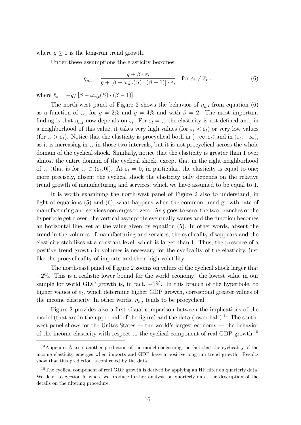where  $q \geq 0$  is the long-run trend growth.

Under these assumptions the elasticity becomes:

$$
\eta_{n,t} = \frac{g + \beta \cdot \varepsilon_t}{g + [\beta - \omega_{n,t}(S) \cdot (\beta - 1)] \cdot \varepsilon_t}, \text{ for } \varepsilon_t \neq \overline{\varepsilon}_t ,
$$
\n(6)

where  $\bar{\varepsilon}_t = -g/[\beta - \omega_{n,t}(S) \cdot (\beta - 1)].$ 

The north-west panel of Figure 2 shows the behavior of  $\eta_{n,t}$  from equation (6) as a function of  $\varepsilon_t$ , for  $g = 2\%$  and  $g = 4\%$  and with  $\beta = 2$ . The most important finding is that  $\eta_{n,t}$  now depends on  $\varepsilon_t$ . For  $\varepsilon_t = \overline{\varepsilon}_t$  the elasticity is not defined and, in a neighborhood of this value, it takes very high values (for  $\varepsilon_t < \overline{\varepsilon}_t$ ) or very low values (for  $\varepsilon_t > \bar{\varepsilon}_t$ ). Notice that the elasticity is procyclical both in  $(-\infty, \bar{\varepsilon}_t)$  and in  $(\bar{\varepsilon}_t, +\infty)$ , as it is increasing in  $\varepsilon_t$  in those two intervals, but it is not procyclical across the whole domain of the cyclical shock. Similarly, notice that the elasticity is greater than 1 over almost the entire domain of the cyclical shock, except that in the right neighborhood of  $\bar{\varepsilon}_t$  (that is for  $\varepsilon_t \in (\bar{\varepsilon}_t, 0]$ ). At  $\varepsilon_t = 0$ , in particular, the elasticity is equal to one; more precisely, absent the cyclical shock the elasticity only depends on the relative trend growth of manufacturing and services, which we have assumed to be equal to 1.

It is worth examining the north-west panel of Figure 2 also to understand, in light of equations (5) and (6), what happens when the common trend growth rate of manufacturing and services converges to zero. As g goes to zero, the two branches of the hyperbole get closer, the vertical asymptote eventually wanes and the function becomes an horizontal line, set at the value given by equation (5). In other words, absent the trend in the volumes of manufacturing and services, the cyclicality disappears and the elasticity stabilizes at a constant level, which is larger than 1. Thus, the presence of a positive trend growth in volumes is necessary for the cyclicality of the elasticity, just like the procyclicality of imports and their high volatility.

The north-east panel of Figure 2 zooms on values of the cyclical shock larger that  $-2\%$ . This is a realistic lower bound for the world economy: the lowest value in our sample for world GDP growth is, in fact,  $-1\%$ . In this branch of the hyperbole, to higher values of  $\varepsilon_t$ , which determine higher GDP growth, correspond greater values of the income elasticity. In other words,  $\eta_{n,t}$  tends to be procyclical.

Figure 2 provides also a first visual comparison between the implications of the model (that are in the upper half of the figure) and the data (lower half).<sup>14</sup> The southwest panel shows for the Unites States  $-$  the world's largest economy  $-$  the behavior of the income elasticity with respect to the cyclical component of real GDP growth.<sup>15</sup>

<sup>&</sup>lt;sup>14</sup>Appendix A tests another prediction of the model concerning the fact that the cyclicality of the income elasticity emerges when imports and GDP have a positive long-run trend growth. Results show that this prediction is confirmed by the data.

<sup>&</sup>lt;sup>15</sup>The cyclical component of real GDP growth is derived by applying an HP filter on quarterly data. We defer to Section 5, where we produce further analysis on quarterly data, the description of the details on the filtering procedure.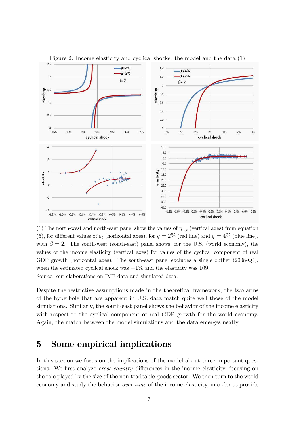

Figure 2: Income elasticity and cyclical shocks: the model and the data (1)

(1) The north-west and north-east panel show the values of  $\eta_{n,t}$  (vertical axes) from equation (6), for different values of  $\varepsilon_t$  (horizontal axes), for  $g = 2\%$  (red line) and  $g = 4\%$  (blue line), with  $\beta = 2$ . The south-west (south-east) panel shows, for the U.S. (world economy), the values of the income elasticity (vertical axes) for values of the cyclical component of real GDP growth (horizontal axes). The south-east panel excludes a single outlier (2008-Q4), when the estimated cyclical shock was  $-1\%$  and the elasticity was 109. Source: our elaborations on IMF data and simulated data.

Despite the restrictive assumptions made in the theoretical framework, the two arms of the hyperbole that are apparent in U.S. data match quite well those of the model simulations. Similarly, the south-east panel shows the behavior of the income elasticity with respect to the cyclical component of real GDP growth for the world economy. Again, the match between the model simulations and the data emerges neatly.

## 5 Some empirical implications

In this section we focus on the implications of the model about three important questions. We first analyze *cross-country* differences in the income elasticity, focusing on the role played by the size of the non-tradeable-goods sector. We then turn to the world economy and study the behavior over time of the income elasticity, in order to provide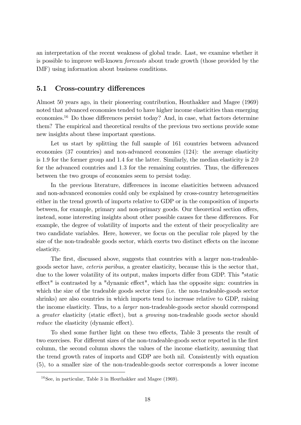an interpretation of the recent weakness of global trade. Last, we examine whether it is possible to improve well-known forecasts about trade growth (those provided by the IMF) using information about business conditions.

#### 5.1 Cross-country differences

Almost 50 years ago, in their pioneering contribution, Houthakker and Magee (1969) noted that advanced economies tended to have higher income elasticities than emerging economies.<sup>16</sup> Do those differences persist today? And, in case, what factors determine them? The empirical and theoretical results of the previous two sections provide some new insights about these important questions.

Let us start by splitting the full sample of 161 countries between advanced economies (37 countries) and non-advanced economies (124): the average elasticity is 1:9 for the former group and 1:4 for the latter. Similarly, the median elasticity is 2:0 for the advanced countries and 1.3 for the remaining countries. Thus, the differences between the two groups of economies seem to persist today.

In the previous literature, differences in income elasticities between advanced and non-advanced economies could only be explained by cross-country heterogeneities either in the trend growth of imports relative to GDP or in the composition of imports between, for example, primary and non-primary goods. Our theoretical section offers, instead, some interesting insights about other possible causes for these differences. For example, the degree of volatility of imports and the extent of their procyclicality are two candidate variables. Here, however, we focus on the peculiar role played by the size of the non-tradeable goods sector, which exerts two distinct effects on the income elasticity.

The first, discussed above, suggests that countries with a larger non-tradeablegoods sector have, ceteris paribus, a greater elasticity, because this is the sector that, due to the lower volatility of its output, makes imports differ from GDP. This "static effect" is contrasted by a "dynamic effect", which has the opposite sign: countries in which the size of the tradeable goods sector rises (i.e. the non-tradeable-goods sector shrinks) are also countries in which imports tend to increase relative to GDP, raising the income elasticity. Thus, to a larger non-tradeable-goods sector should correspond a *greater* elasticity (static effect), but a *growing* non-tradeable goods sector should reduce the elasticity (dynamic effect).

To shed some further light on these two effects, Table 3 presents the result of two exercises. For different sizes of the non-tradeable-goods sector reported in the first column, the second column shows the values of the income elasticity, assuming that the trend growth rates of imports and GDP are both nil. Consistently with equation (5), to a smaller size of the non-tradeable-goods sector corresponds a lower income

 $16$ See, in particular, Table 3 in Houthakker and Magee (1969).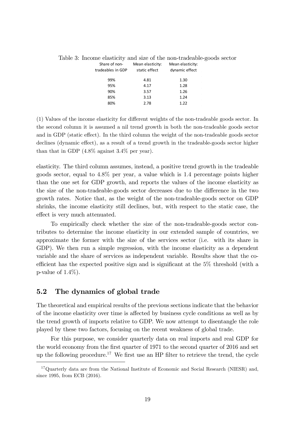| Share of non-<br>tradeables in GDP | Mean elasticity:<br>static effect | Mean elasticity:<br>dynamic effect |  |
|------------------------------------|-----------------------------------|------------------------------------|--|
| 99%                                | 4.81                              | 1.30                               |  |
| 95%                                | 4.17                              | 1.28                               |  |
| 90%                                | 3.57                              | 1.26                               |  |
| 85%                                | 3.13                              | 1.24                               |  |
| 80%                                | 2.78                              | 1.22                               |  |
|                                    |                                   |                                    |  |

Table 3: Income elasticity and size of the non-tradeable-goods sector

(1) Values of the income elasticity for different weights of the non-tradeable goods sector. In the second column it is assumed a nil trend growth in both the non-tradeable goods sector and in GDP (static effect). In the third column the weight of the non-tradeable goods sector declines (dynamic effect), as a result of a trend growth in the tradeable-goods sector higher than that in GDP (4.8% against 3.4% per year).

elasticity. The third column assumes, instead, a positive trend growth in the tradeable goods sector, equal to 4:8% per year, a value which is 1:4 percentage points higher than the one set for GDP growth, and reports the values of the income elasticity as the size of the non-tradeable-goods sector decreases due to the difference in the two growth rates. Notice that, as the weight of the non-tradeable-goods sector on GDP shrinks, the income elasticity still declines, but, with respect to the static case, the effect is very much attenuated.

To empirically check whether the size of the non-tradeable-goods sector contributes to determine the income elasticity in our extended sample of countries, we approximate the former with the size of the services sector (i.e. with its share in GDP). We then run a simple regression, with the income elasticity as a dependent variable and the share of services as independent variable. Results show that the coefficient has the expected positive sign and is significant at the  $5\%$  threshold (with a p-value of  $1.4\%$ ).

### 5.2 The dynamics of global trade

The theoretical and empirical results of the previous sections indicate that the behavior of the income elasticity over time is affected by business cycle conditions as well as by the trend growth of imports relative to GDP. We now attempt to disentangle the role played by these two factors, focusing on the recent weakness of global trade.

For this purpose, we consider quarterly data on real imports and real GDP for the world economy from the first quarter of 1971 to the second quarter of 2016 and set up the following procedure.<sup>17</sup> We first use an HP filter to retrieve the trend, the cycle

<sup>&</sup>lt;sup>17</sup>Quarterly data are from the National Institute of Economic and Social Research (NIESR) and, since 1995, from ECB (2016).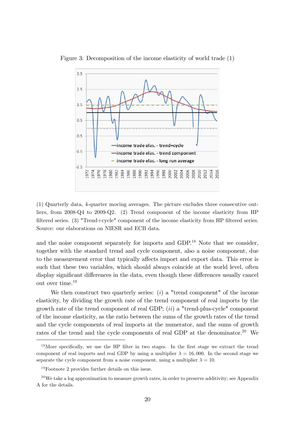

Figure 3: Decomposition of the income elasticity of world trade (1)

(1) Quarterly data, 4-quarter moving averages. The picture excludes three consecutive outliers, from 2008-Q4 to 2009-Q2. (2) Trend component of the income elasticity from HP filtered series. (3) "Trend+cycle" component of the income elasticity from HP filtered series. Source: our elaborations on NIESR and ECB data.

and the noise component separately for imports and  $GDP<sup>18</sup>$  Note that we consider, together with the standard trend and cycle component, also a noise component, due to the measurement error that typically affects import and export data. This error is such that these two variables, which should always coincide at the world level, often display significant differences in the data, even though these differences usually cancel out over time.<sup>19</sup>

We then construct two quarterly series:  $(i)$  a "trend component" of the income elasticity, by dividing the growth rate of the trend component of real imports by the growth rate of the trend component of real GDP;  $(ii)$  a "trend-plus-cycle" component of the income elasticity, as the ratio between the sums of the growth rates of the trend and the cycle components of real imports at the numerator, and the sums of growth rates of the trend and the cycle components of real GDP at the denominator.<sup>20</sup> We

<sup>&</sup>lt;sup>18</sup>More specifically, we use the HP filter in two stages. In the first stage we extract the trend component of real imports and real GDP by using a multiplier  $\lambda = 16,000$ . In the second stage we separate the cycle component from a noise component, using a multiplier  $\lambda = 10$ .

<sup>19</sup>Footnote 2 provides further details on this issue.

<sup>&</sup>lt;sup>20</sup>We take a log approximation to measure growth rates, in order to preserve additivity; see Appendix A for the details.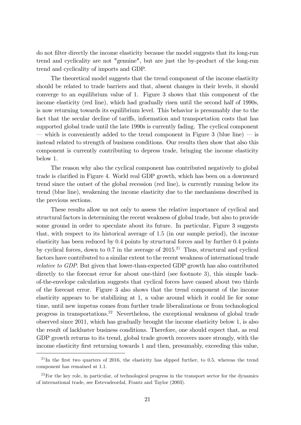do not Ölter directly the income elasticity because the model suggests that its long-run trend and cyclicality are not "genuine", but are just the by-product of the long-run trend and cyclicality of imports and GDP.

The theoretical model suggests that the trend component of the income elasticity should be related to trade barriers and that, absent changes in their levels, it should converge to an equilibrium value of 1. Figure 3 shows that this component of the income elasticity (red line), which had gradually risen until the second half of 1990s, is now returning towards its equilibrium level. This behavior is presumably due to the fact that the secular decline of tariffs, information and transportation costs that has supported global trade until the late 1990s is currently fading. The cyclical component — which is conveniently added to the trend component in Figure 3 (blue line) — is instead related to strength of business conditions. Our results then show that also this component is currently contributing to depress trade, bringing the income elasticity below 1.

The reason why also the cyclical component has contributed negatively to global trade is clarified in Figure 4. World real GDP growth, which has been on a downward trend since the outset of the global recession (red line), is currently running below its trend (blue line), weakening the income elasticity due to the mechanisms described in the previous sections.

These results allow us not only to assess the relative importance of cyclical and structural factors in determining the recent weakness of global trade, but also to provide some ground in order to speculate about its future. In particular, Figure 3 suggests that, with respect to its historical average of 1:5 (in our sample period), the income elasticity has been reduced by 0:4 points by structural forces and by further 0:4 points by cyclical forces, down to 0.7 in the average of  $2015<sup>21</sup>$  Thus, structural and cyclical factors have contributed to a similar extent to the recent weakness of international trade relative to GDP. But given that lower-than-expected GDP growth has also contributed directly to the forecast error for about one-third (see footnote 3), this simple backof-the-envelope calculation suggests that cyclical forces have caused about two thirds of the forecast error. Figure 3 also shows that the trend component of the income elasticity appears to be stabilizing at 1, a value around which it could lie for some time, until new impetus comes from further trade liberalizations or from technological progress in transportations.<sup>22</sup> Nevertheless, the exceptional weakness of global trade observed since 2011, which has gradually brought the income elasticity below 1, is also the result of lackluster business conditions. Therefore, one should expect that, as real GDP growth returns to its trend, global trade growth recovers more strongly, with the income elasticity first returning towards 1 and then, presumably, exceeding this value,

 $^{21}$ In the first two quarters of 2016, the elasticity has slipped further, to 0.5, whereas the trend component has remained at 1.1.

 $22$ For the key role, in particular, of technological progress in the transport sector for the dynamics of international trade, see Estevadeordal, Frantz and Taylor (2003).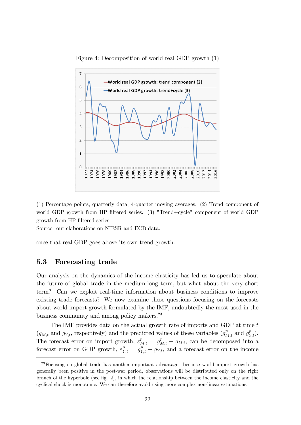

Figure 4: Decomposition of world real GDP growth (1)

(1) Percentage points, quarterly data, 4-quarter moving averages. (2) Trend component of world GDP growth from HP filtered series. (3) "Trend+cycle" component of world GDP growth from HP filtered series.

Source: our elaborations on NIESR and ECB data.

once that real GDP goes above its own trend growth.

#### 5.3 Forecasting trade

Our analysis on the dynamics of the income elasticity has led us to speculate about the future of global trade in the medium-long term, but what about the very short term? Can we exploit real-time information about business conditions to improve existing trade forecasts? We now examine these questions focusing on the forecasts about world import growth formulated by the IMF, undoubtedly the most used in the business community and among policy makers.<sup>23</sup>

The IMF provides data on the actual growth rate of imports and GDP at time t  $(g_{M,t}$  and  $g_{Y,t}$ , respectively) and the predicted values of these variables  $(g_{M,t}^p \text{ and } g_{Y,t}^p)$ . The forecast error on import growth,  $\varepsilon_{M,t}^p = g_{M,t}^p - g_{M,t}$ , can be decomposed into a forecast error on GDP growth,  $\varepsilon_{Y,t}^p = g_{Y,t}^p - g_{Y,t}$ , and a forecast error on the income

<sup>23</sup>Focusing on global trade has another important advantage: because world import growth has generally been positive in the post-war period, observations will be distributed only on the right branch of the hyperbole (see fig.  $2$ ), in which the relationship between the income elasticity and the cyclical shock is monotonic. We can therefore avoid using more complex non-linear estimations.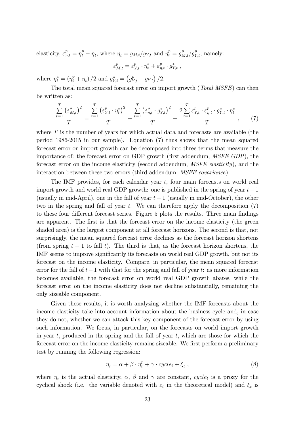elasticity,  $\varepsilon_{\eta,t}^p = \eta_t^p - \eta_t$ , where  $\eta_t = g_{M,t}/g_{Y,t}$  and  $\eta_t^p = g_{M,t}^p/g_{Y,t}^p$ ; namely:

$$
\varepsilon_{M,t}^p = \varepsilon_{Y,t}^p \cdot \eta_t^* + \varepsilon_{\eta,t}^p \cdot g_{Y,t}^* ,
$$

where  $\eta_t^* = (\eta_t^p + \eta_t)/2$  and  $g_{Y,t}^* = (g_{Y,t}^p + g_{Y,t})/2$ .

The total mean squared forecast error on import growth (Total MSFE) can then be written as:

$$
\frac{\sum_{t=1}^{T} (\varepsilon_{M,t}^p)^2}{T} = \frac{\sum_{t=1}^{T} (\varepsilon_{Y,t}^p \cdot \eta_t^*)^2}{T} + \frac{\sum_{t=1}^{T} (\varepsilon_{\eta,t}^p \cdot g_{Y,t}^*)^2}{T} + \frac{2 \sum_{t=1}^{T} \varepsilon_{Y,t}^p \cdot \varepsilon_{\eta,t}^p \cdot g_{Y,t}^* \cdot \eta_t^*}{T}, \qquad (7)
$$

where T is the number of years for which actual data and forecasts are available (the period 1986-2015 in our sample). Equation (7) thus shows that the mean squared forecast error on import growth can be decomposed into three terms that measure the importance of: the forecast error on GDP growth (first addendum, *MSFE GDP*), the forecast error on the income elasticity (second addendum, MSFE elasticity), and the interaction between these two errors (third addendum, MSFE covariance).

The IMF provides, for each calendar year  $t$ , four main forecasts on world real import growth and world real GDP growth: one is published in the spring of year  $t-1$ (usually in mid-April), one in the fall of year  $t-1$  (usually in mid-October), the other two in the spring and fall of year  $t$ . We can therefore apply the decomposition  $(7)$ to these four different forecast series. Figure 5 plots the results. Three main findings are apparent. The first is that the forecast error on the income elasticity (the green shaded area) is the largest component at all forecast horizons. The second is that, not surprisingly, the mean squared forecast error declines as the forecast horizon shortens (from spring  $t-1$  to fall t). The third is that, as the forecast horizon shortens, the IMF seems to improve significantly its forecasts on world real GDP growth, but not its forecast on the income elasticity. Compare, in particular, the mean squared forecast error for the fall of  $t-1$  with that for the spring and fall of year t: as more information becomes available, the forecast error on world real GDP growth abates, while the forecast error on the income elasticity does not decline substantially, remaining the only sizeable component.

Given these results, it is worth analyzing whether the IMF forecasts about the income elasticity take into account information about the business cycle and, in case they do not, whether we can attack this key component of the forecast error by using such information. We focus, in particular, on the forecasts on world import growth in year t, produced in the spring and the fall of year t, which are those for which the forecast error on the income elasticity remains sizeable. We first perform a preliminary test by running the following regression:

$$
\eta_t = \alpha + \beta \cdot \eta_t^p + \gamma \cdot cycle_t + \xi_t , \qquad (8)
$$

where  $\eta_t$  is the actual elasticity,  $\alpha$ ,  $\beta$  and  $\gamma$  are constant, cycle<sub>t</sub> is a proxy for the cyclical shock (i.e. the variable denoted with  $\varepsilon_t$  in the theoretical model) and  $\xi_t$  is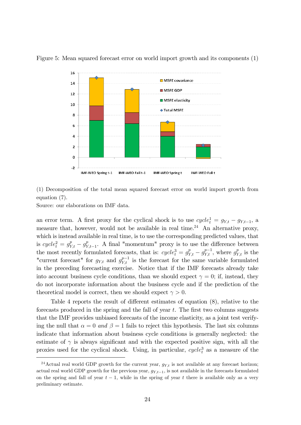

Figure 5: Mean squared forecast error on world import growth and its components (1)

(1) Decomposition of the total mean squared forecast error on world import growth from equation (7).

Source: our elaborations on IMF data.

an error term. A first proxy for the cyclical shock is to use  $cycle_t^1 = g_{Y,t} - g_{Y,t-1}$ , a measure that, however, would not be available in real time.<sup>24</sup> An alternative proxy, which is instead available in real time, is to use the corresponding predicted values, that is  $cycle_t^2 = g_{Y,t}^p - g_{Y,t-1}^p$ . A final "momentum" proxy is to use the difference between the most recently formulated forecasts, that is:  $cycle_i^3 = g_{Y,t}^p - g_{Y,t}^{p-1}$ , where  $g_{Y,t}^p$  is the "current forecast" for  $g_{Y,t}$  and  $g_{Y,t}^{p-1}$  is the forecast for the same variable formulated in the preceding forecasting exercise. Notice that if the IMF forecasts already take into account business cycle conditions, than we should expect  $\gamma = 0$ ; if, instead, they do not incorporate information about the business cycle and if the prediction of the theoretical model is correct, then we should expect  $\gamma > 0$ .

Table 4 reports the result of different estimates of equation  $(8)$ , relative to the forecasts produced in the spring and the fall of year  $t$ . The first two columns suggests that the IMF provides unbiased forecasts of the income elasticity, as a joint test verifying the null that  $\alpha = 0$  and  $\beta = 1$  fails to reject this hypothesis. The last six columns indicate that information about business cycle conditions is generally neglected: the estimate of  $\gamma$  is always significant and with the expected positive sign, with all the proxies used for the cyclical shock. Using, in particular,  $cycle<sub>t</sub><sup>3</sup>$  as a measure of the

<sup>&</sup>lt;sup>24</sup>Actual real world GDP growth for the current year,  $g_{Y,t}$  is not available at any forecast horizon; actual real world GDP growth for the previous year,  $g_{Y,t-1}$ , is not available in the forecasts formulated on the spring and fall of year  $t-1$ , while in the spring of year t there is available only as a very preliminary estimate.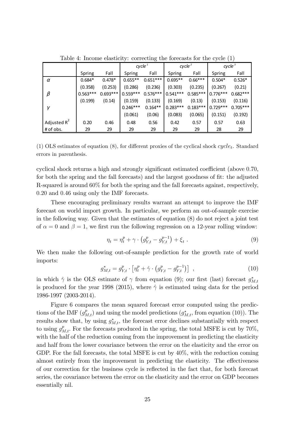|                |            |            | cycle <sup>T</sup> |            | cycle <sup>2</sup> |            | cycle <sup>3</sup> |            |
|----------------|------------|------------|--------------------|------------|--------------------|------------|--------------------|------------|
|                | Spring     | Fall       | Spring             | Fall       | Spring             | Fall       | Spring             | Fall       |
| $\alpha$       | $0.684*$   | $0.478*$   | $0.655**$          | $0.651***$ | $0.695**$          | $0.66***$  | $0.504*$           | $0.526*$   |
|                | (0.358)    | (0.253)    | (0.286)            | (0.236)    | (0.303)            | (0.235)    | (0.267)            | (0.21)     |
| $\beta$        | $0.563***$ | $0.693***$ | $0.559***$         | $0.576***$ | $0.541***$         | $0.585***$ | $0.776***$         | $0.682***$ |
|                | (0.199)    | (0.14)     | (0.159)            | (0.133)    | (0.169)            | (0.13)     | (0.153)            | (0.116)    |
| $\gamma$       |            |            | $0.246***$         | $0.164**$  | $0.283***$         | $0.183***$ | $0.729***$         | $0.705***$ |
|                |            |            | (0.061)            | (0.06)     | (0.083)            | (0.065)    | (0.151)            | (0.192)    |
| Adjusted $R^2$ | 0.20       | 0.46       | 0.48               | 0.56       | 0.42               | 0.57       | 0.57               | 0.63       |
| # of obs.      | 29         | 29         | 29                 | 29         | 29                 | 29         | 28                 | 29         |

Table 4: Income elasticity: correcting the forecasts for the cycle (1)

(1) OLS estimates of equation (8), for different proxies of the cyclical shock  $cycle_t$ . Standard errors in parenthesis.

cyclical shock returns a high and strongly significant estimated coefficient (above  $0.70$ , for both the spring and the fall forecasts) and the largest goodness of fit: the adjusted R-squared is around 60% for both the spring and the fall forecasts against, respectively, 0:20 and 0:46 using only the IMF forecasts.

These encouraging preliminary results warrant an attempt to improve the IMF forecast on world import growth. In particular, we perform an out-of-sample exercise in the following way. Given that the estimates of equation (8) do not reject a joint test of  $\alpha = 0$  and  $\beta = 1$ , we first run the following regression on a 12-year rolling window:

$$
\eta_t = \eta_t^p + \gamma \cdot \left( g_{Y,t}^p - g_{Y,t}^{p-1} \right) + \xi_t \; . \tag{9}
$$

We then make the following out-of-sample prediction for the growth rate of world imports:

$$
g_{M,t}^* = g_{Y,t}^p \cdot \left[ \eta_t^p + \hat{\gamma} \cdot \left( g_{Y,t}^p - g_{Y,t}^{p-1} \right) \right] , \qquad (10)
$$

in which  $\hat{\gamma}$  is the OLS estimate of  $\gamma$  from equation (9); our first (last) forecast  $g_{\hat{\Lambda}}^*$  $M,t$ is produced for the year 1998 (2015), where  $\hat{\gamma}$  is estimated using data for the period 1986-1997 (2003-2014).

Figure 6 compares the mean squared forecast error computed using the predictions of the IMF  $(g_{M,t}^p)$  and using the model predictions  $(g_{M,t}^*$ , from equation (10)). The results show that, by using  $g_{M,t}^*$ , the forecast error declines substantially with respect to using  $g_{M,t}^p$ . For the forecasts produced in the spring, the total MSFE is cut by 70%, with the half of the reduction coming from the improvement in predicting the elasticity and half from the lower covariance between the error on the elasticity and the error on GDP. For the fall forecasts, the total MSFE is cut by 40%, with the reduction coming almost entirely from the improvement in predicting the elasticity. The effectiveness of our correction for the business cycle is reflected in the fact that, for both forecast series, the covariance between the error on the elasticity and the error on GDP becomes essentially nil.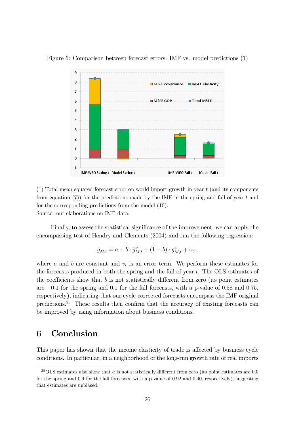

Figure 6: Comparison between forecast errors: IMF vs. model predictions (1)

(1) Total mean squared forecast error on world import growth in year t (and its components from equation (7)) for the predictions made by the IMF in the spring and fall of year  $t$  and for the corresponding predictions from the model (10). Source: our elaborations on IMF data.

Finally, to assess the statistical significance of the improvement, we can apply the encompassing test of Hendry and Clements (2004) and run the following regression:

$$
g_{M,t} = a + b \cdot g_{M,t}^p + (1 - b) \cdot g_{M,t}^* + v_t,
$$

where  $a$  and  $b$  are constant and  $v_t$  is an error term. We perform these estimates for the forecasts produced in both the spring and the fall of year t. The OLS estimates of the coefficients show that  $b$  is not statistically different from zero (its point estimates are  $-0.1$  for the spring and 0.1 for the fall forecasts, with a p-value of 0.58 and 0.75, respectively), indicating that our cycle-corrected forecasts encompass the IMF original predictions.<sup>25</sup> These results then confirm that the accuracy of existing forecasts can be improved by using information about business conditions.

### 6 Conclusion

This paper has shown that the income elasticity of trade is affected by business cycle conditions. In particular, in a neighborhood of the long-run growth rate of real imports

 $^{25}$ OLS estimates also show that a is not statistically different from zero (its point estimates are 0.0 for the spring and 0.4 for the fall forecasts, with a p-value of 0.92 and 0.40, respectively), suggesting that estimates are unbiased.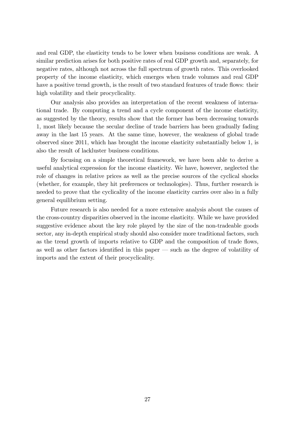and real GDP, the elasticity tends to be lower when business conditions are weak. A similar prediction arises for both positive rates of real GDP growth and, separately, for negative rates, although not across the full spectrum of growth rates. This overlooked property of the income elasticity, which emerges when trade volumes and real GDP have a positive trend growth, is the result of two standard features of trade flows: their high volatility and their procyclicality.

Our analysis also provides an interpretation of the recent weakness of international trade. By computing a trend and a cycle component of the income elasticity, as suggested by the theory, results show that the former has been decreasing towards 1, most likely because the secular decline of trade barriers has been gradually fading away in the last 15 years. At the same time, however, the weakness of global trade observed since 2011, which has brought the income elasticity substantially below 1, is also the result of lackluster business conditions.

By focusing on a simple theoretical framework, we have been able to derive a useful analytical expression for the income elasticity. We have, however, neglected the role of changes in relative prices as well as the precise sources of the cyclical shocks (whether, for example, they hit preferences or technologies). Thus, further research is needed to prove that the cyclicality of the income elasticity carries over also in a fully general equilibrium setting.

Future research is also needed for a more extensive analysis about the causes of the cross-country disparities observed in the income elasticity. While we have provided suggestive evidence about the key role played by the size of the non-tradeable goods sector, any in-depth empirical study should also consider more traditional factors, such as the trend growth of imports relative to GDP and the composition of trade flows, as well as other factors identified in this paper  $-$  such as the degree of volatility of imports and the extent of their procyclicality.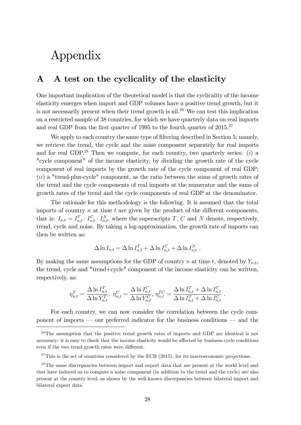## Appendix

## A A test on the cyclicality of the elasticity

One important implication of the theoretical model is that the cyclicality of the income elasticity emerges when import and GDP volumes have a positive trend growth, but it is not necessarily present when their trend growth is nil.<sup>26</sup> We can test this implication on a restricted sample of 38 countries, for which we have quarterly data on real imports and real GDP from the first quarter of 1995 to the fourth quarter of  $2015.<sup>27</sup>$ 

We apply to each country the same type of filtering described in Section 5; namely, we retrieve the trend, the cycle and the noise component separately for real imports and for real GDP.<sup>28</sup> Then we compute, for each country, two quarterly series: (i) a "cycle component" of the income elasticity, by dividing the growth rate of the cycle component of real imports by the growth rate of the cycle component of real GDP; (ii) a "trend-plus-cycle" component, as the ratio between the sums of growth rates of the trend and the cycle components of real imports at the numerator and the sums of growth rates of the trend and the cycle components of real GDP at the denominator.

The rationale for this methodology is the following. It is assumed that the total imports of country  $n$  at time  $t$  are given by the product of the different components, that is:  $I_{n,t} = I_{n,t}^T \cdot I_{n,t}^C \cdot I_{n,t}^N$ , where the superscripts T, C and N denote, respectively, trend, cycle and noise. By taking a log-approximation, the growth rate of imports can then be written as:

$$
\Delta \ln I_{n,t} = \Delta \ln I_{n,t}^T + \Delta \ln I_{n,t}^C + \Delta \ln I_{n,t}^N.
$$

By making the same assumptions for the GDP of country n at time t, denoted by  $Y_{n,t}$ , the trend, cycle and "trend+cycle" component of the income elasticity can be written, respectively, as:

$$
\eta_{n,t}^T = \frac{\Delta \ln I_{n,t}^T}{\Delta \ln Y_{n,t}^T}, \ \eta_{n,t}^C = \frac{\Delta \ln I_{n,t}^C}{\Delta \ln Y_{n,t}^C}, \ \eta_{n,t}^{TC} = \frac{\Delta \ln I_{n,t}^T + \Delta \ln I_{n,t}^C}{\Delta \ln I_{n,t}^T + \Delta \ln I_{n,t}^C} \ .
$$

For each country, we can now consider the correlation between the cycle component of imports  $\sim$  our preferred indicator for the business conditions  $\sim$  and the

 $26$ The assumption that the positive trend growth rates of imports and GDP are identical is not necessary: it is easy to check that the income elasticity would be affected by business cycle conditions even if the two trend growth rates were different.

 $27$ This is the set of countries considered by the ECB (2015), for its macroeconomic projections.

<sup>&</sup>lt;sup>28</sup>The same discrepancies between import and export data that are present at the world level and that have induced us to compute a noise component (in addition to the trend and the cycle) are also present at the country level, as shown by the well-known discrepancies between bilateral import and bilateral export data.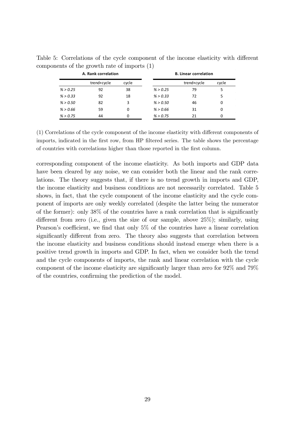|          | A. Rank correlation |       |          | <b>B. Linear correlation</b> |       |
|----------|---------------------|-------|----------|------------------------------|-------|
|          | trend+cycle         | cycle |          | trend+cycle                  | cycle |
| % > 0.25 | 92                  | 38    | % > 0.25 | 79                           | 5     |
| % > 0.33 | 92                  | 18    | % > 0.33 | 72                           | 5     |
| % > 0.50 | 82                  | 3     | % > 0.50 | 46                           | 0     |
| % > 0.66 | 59                  |       | % > 0.66 | 31                           | 0     |
| % > 0.75 | 44                  |       | % > 0.75 | 21                           | 0     |

Table 5: Correlations of the cycle component of the income elasticity with different components of the growth rate of imports (1)

 $(1)$  Correlations of the cycle component of the income elasticity with different components of imports, indicated in the first row, from HP filtered series. The table shows the percentage of countries with correlations higher than those reported in the first column.

corresponding component of the income elasticity. As both imports and GDP data have been cleared by any noise, we can consider both the linear and the rank correlations. The theory suggests that, if there is no trend growth in imports and GDP, the income elasticity and business conditions are not necessarily correlated. Table 5 shows, in fact, that the cycle component of the income elasticity and the cycle component of imports are only weekly correlated (despite the latter being the numerator of the former): only  $38\%$  of the countries have a rank correlation that is significantly different from zero (i.e., given the size of our sample, above  $25\%$ ); similarly, using Pearson's coefficient, we find that only  $5\%$  of the countries have a linear correlation significantly different from zero. The theory also suggests that correlation between the income elasticity and business conditions should instead emerge when there is a positive trend growth in imports and GDP. In fact, when we consider both the trend and the cycle components of imports, the rank and linear correlation with the cycle component of the income elasticity are significantly larger than zero for  $92\%$  and  $79\%$ of the countries, confirming the prediction of the model.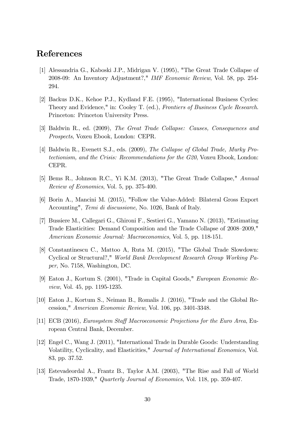## References

- [1] Alessandria G., Kaboski J.P., Midrigan V. (1995), "The Great Trade Collapse of 2008-09: An Inventory Adjustment?," IMF Economic Review, Vol. 58, pp. 254- 294.
- [2] Backus D.K., Kehoe P.J., Kydland F.E. (1995), "International Business Cycles: Theory and Evidence," in: Cooley T. (ed.), Frontiers of Business Cycle Research. Princeton: Princeton University Press.
- [3] Baldwin R., ed. (2009), The Great Trade Collapse: Causes, Consequences and Prospects, Voxeu Ebook, London: CEPR.
- [4] Baldwin R., Evenett S.J., eds. (2009), The Collapse of Global Trade, Murky Protectionism, and the Crisis: Recommendations for the G20, Voxeu Ebook, London: CEPR.
- [5] Bems R., Johnson R.C., Yi K.M. (2013), "The Great Trade Collapse," Annual Review of Economics, Vol. 5, pp. 375-400.
- [6] Borin A., Mancini M. (2015), "Follow the Value-Added: Bilateral Gross Export Accounting", Temi di discussione, No. 1026, Bank of Italy.
- [7] Bussiere M., Callegari G., Ghironi F., Sestieri G., Yamano N. (2013), "Estimating Trade Elasticities: Demand Composition and the Trade Collapse of 2008–2009," American Economic Journal: Macroeconomics, Vol. 5, pp. 118-151.
- [8] Constantinescu C., Mattoo A, Ruta M. (2015), "The Global Trade Slowdown: Cyclical or Structural?," World Bank Development Research Group Working Paper, No. 7158, Washington, DC.
- [9] Eaton J., Kortum S. (2001), "Trade in Capital Goods," European Economic Review, Vol. 45, pp. 1195-1235.
- [10] Eaton J., Kortum S., Neiman B., Romalis J. (2016), "Trade and the Global Recession," American Economic Review, Vol. 106, pp. 3401-3348.
- [11] ECB (2016), *Eurosystem Staff Macroeconomic Projections for the Euro Area*, European Central Bank, December.
- [12] Engel C., Wang J. (2011), "International Trade in Durable Goods: Understanding Volatility, Cyclicality, and Elasticities," Journal of International Economics, Vol. 83, pp. 37.52.
- [13] Estevadeordal A., Frantz B., Taylor A.M. (2003), "The Rise and Fall of World Trade, 1870-1939," Quarterly Journal of Economics, Vol. 118, pp. 359-407.